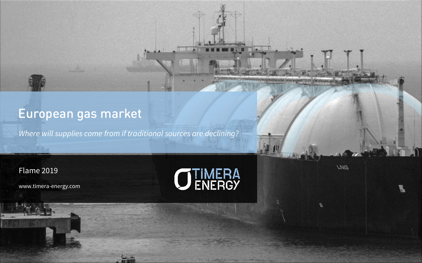# European gas market

*Where will supplies come from if traditional sources are declining?*

### Flame 2019

www.timera -energy.com



**LNG** 

Gas market evolution & asset investment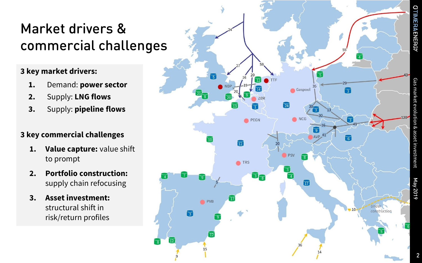# Market drivers & commercial challenges

## **3 key market drivers:**

- **1.** Demand: **power sector**
- **2.** Supply: **LNG flows**
- **3.** Supply: **pipeline flows**

# **3 key commercial challenges**

- **1. Value capture:** value shift to prompt
- **2. Portfolio construction:**  supply chain refocusing
- **3. Asset investment:**  structural shift in risk/return profiles



Gas market evolution & asset investment

olution & ass

iet investmen

**JTIMERAENERGY** 

May 2019

2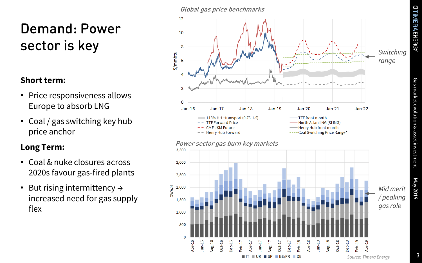# Demand: Power sector is key

# **Short term:**

- Price responsiveness allows Europe to absorb LNG
- Coal / gas switching key hub price anchor

# **Long Term:**

- Coal & nuke closures across 2020s favour gas-fired plants
- But rising intermittency  $\rightarrow$ increased need for gas supply flex

#### Global gas price benchmarks

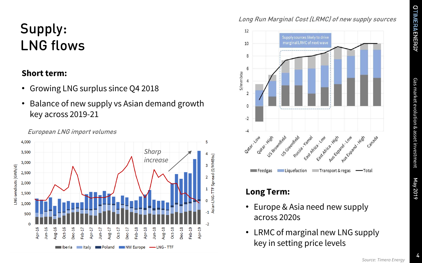# Gas market evolution & asset investment Gas market evolution & asset investment

May 2019

# Supply: LNG flows

### **Short term:**

- Growing LNG surplus since Q4 2018
- Balance of new supply vs Asian demand growth key across 2019-21



#### European LNG import volumes

## Long Run Marginal Cost (LRMC) of new supply sources



# **Long Term:**

- Europe & Asia need new supply across 2020s
- LRMC of marginal new LNG supply key in setting price levels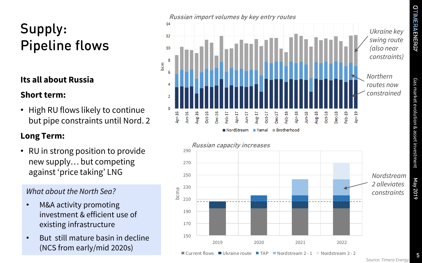Gas market evolution & asset investment

Gas market evolution & asset investment

# Supply: Pipeline flows

# **Its all about Russia**

# **Short term:**

• High RU flows likely to continue but pipe constraints until Nord. 2

# **Long Term:**

• RU in strong position to provide new supply… but competing against 'price taking' LNG

- M&A activity promoting investment & efficient use of existing infrastructure
- But still mature basin in decline (NCS from early/mid 2020s)



■ NordStream

 $\blacksquare$  Yamal



■ Brotherhood

May 2019

5

 $\blacksquare$  Current flows  $\blacksquare$  Ukraine route  $\blacksquare$  TAP  $\blacksquare$  Nordstream 2 - 1  $\blacksquare$  Nordstream 2 - 2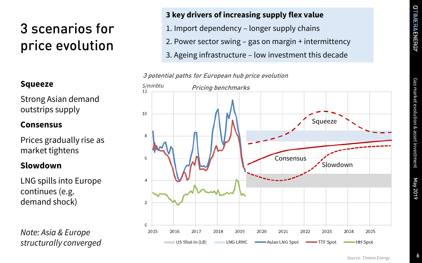# Gas market evolution & asset investment Gas market evolution & asset investment

# 3 scenarios for price evolution

# **Squeeze**

Strong Asian demand outstrips supply

# **Consensus**

Prices gradually rise as market tightens

# **Slowdown**

LNG spills into Europe continues (e.g. demand shock)

*Note: Asia & Europe structurally converged*

## **3 key drivers of increasing supply flex value**

- 1. Import dependency longer supply chains
- 2. Power sector swing gas on margin + intermittency
- 3. Ageing infrastructure low investment this decade

#### 3 potential paths for European hub price evolution

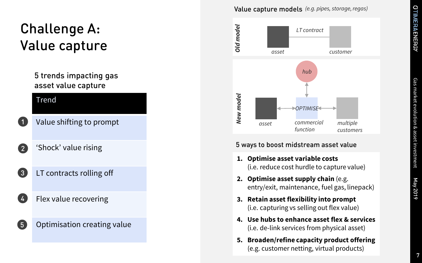# Challenge A: Value capture

## 5 trends impacting gas asset value capture

#### Trend

1<br>2<br>3<br>4<br>5

 $\left(3\right)$ 

 $\left( 5\right)$ 

- Value shifting to prompt
- 'Shock' value rising  $\boxed{2}$ 
	- LT contracts rolling off
	- Flex value recovering

## Optimisation creating value

#### Value capture models *(e.g. pipes, storage, regas)*



#### 5 ways to boost midstream asset value

- **1. Optimise asset variable costs**  (i.e. reduce cost hurdle to capture value)
- **2. Optimise asset supply chain** (e.g. entry/exit, maintenance, fuel gas, linepack)
- **3. Retain asset flexibility into prompt**  (i.e. capturing vs selling out flex value)
- **4. Use hubs to enhance asset flex & services**  (i.e. de -link services from physical asset)
- **5. Broaden/refine capacity product offering**  (e.g. customer netting, virtual products)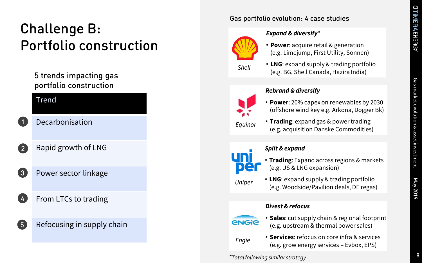May 2019

# Challenge B: Portfolio construction

## 5 trends impacting gas portfolio construction

#### Trend

1<br>2<br>3<br>4<br>5

 $\overline{3}$ 

 $5^{\circ}$ 

 $\overline{2}$ 

Decarbonisation

- Rapid growth of LNG
- Power sector linkage
- From LTCs to trading

## Refocusing in supply chain

#### Gas portfolio evolution: 4 case studies



#### *Expand & diversify \**

- **Power**: acquire retail & generation (e.g. Limejump, First Utility, Sonnen )
- **LNG**: expand supply & trading portfolio (e.g. BG, Shell Canada, Hazira India) *Shell*



#### *Rebrand & diversify*

- **Power**: 20% capex on renewables by 2030 (offshore wind key e.g. Arkona, Dogger Bk)
- **Trading**: expand gas & power trading (e.g. acquisition Danske Commodities)



#### *Split & expand*

- **Trading**: Expand across regions & markets (e.g. US & LNG expansion)
- **LNG**: expand supply & trading portfolio (e.g. Woodside/Pavilion deals, DE regas) *Uniper*

#### *Divest & refocus*



*Engie*

- **Sales**: cut supply chain & regional footprint (e.g. upstream & thermal power sales)
- **Services**: refocus on core infra & services (e.g. grow energy services – Evbox, EPS)

*\*Total following similar strategy*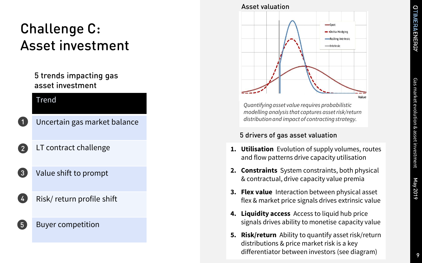# Gas market evolution & asset investment market evolution & asset investment

# Challenge C: Asset investment

## 5 trends impacting gas asset investment

#### Trend

1<br>2<br>3<br>4<br>5

 $\overline{3}$ 

 $5\overline{)}$ 

- Uncertain gas market balance
- LT contract challenge  $\boxed{2}$ 
	- Value shift to prompt
	- Risk/ return profile shift

### Buyer competition



*Quantifying asset value requires probabilistic modelling analysis that captures asset risk/return distribution and impact of contracting strategy.* 

#### 5 drivers of gas asset valuation

- **1. Utilisation** Evolution of supply volumes, routes and flow patterns drive capacity utilisation
- **2. Constraints** System constraints, both physical & contractual, drive capacity value premia
- **3. Flex value** Interaction between physical asset flex & market price signals drives extrinsic value
- **4. Liquidity access** Access to liquid hub price signals drives ability to monetise capacity value
- **5. Risk/return** Ability to quantify asset risk/return distributions & price market risk is a key differentiator between investors (see diagram)